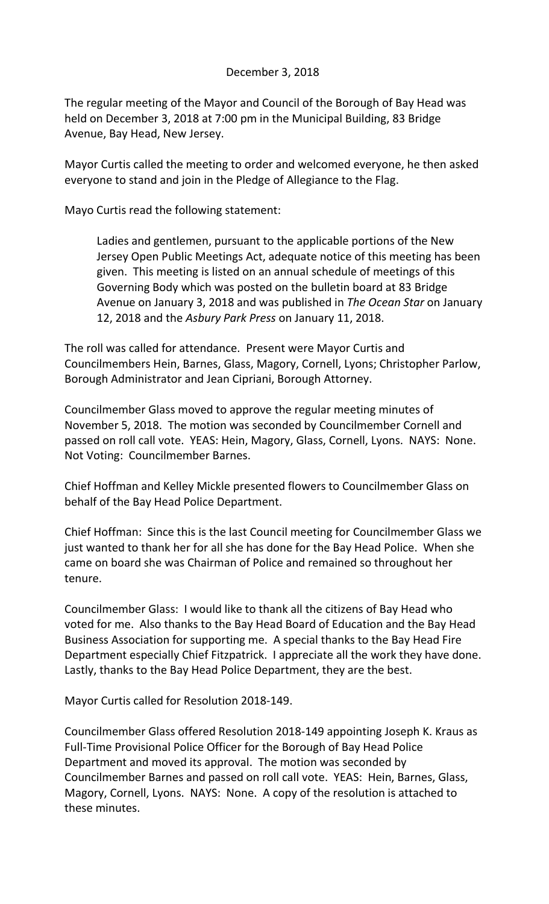## December 3, 2018

The regular meeting of the Mayor and Council of the Borough of Bay Head was held on December 3, 2018 at 7:00 pm in the Municipal Building, 83 Bridge Avenue, Bay Head, New Jersey.

Mayor Curtis called the meeting to order and welcomed everyone, he then asked everyone to stand and join in the Pledge of Allegiance to the Flag.

Mayo Curtis read the following statement:

Ladies and gentlemen, pursuant to the applicable portions of the New Jersey Open Public Meetings Act, adequate notice of this meeting has been given. This meeting is listed on an annual schedule of meetings of this Governing Body which was posted on the bulletin board at 83 Bridge Avenue on January 3, 2018 and was published in *The Ocean Star* on January 12, 2018 and the *Asbury Park Press* on January 11, 2018.

The roll was called for attendance. Present were Mayor Curtis and Councilmembers Hein, Barnes, Glass, Magory, Cornell, Lyons; Christopher Parlow, Borough Administrator and Jean Cipriani, Borough Attorney.

Councilmember Glass moved to approve the regular meeting minutes of November 5, 2018. The motion was seconded by Councilmember Cornell and passed on roll call vote. YEAS: Hein, Magory, Glass, Cornell, Lyons. NAYS: None. Not Voting: Councilmember Barnes.

Chief Hoffman and Kelley Mickle presented flowers to Councilmember Glass on behalf of the Bay Head Police Department.

Chief Hoffman: Since this is the last Council meeting for Councilmember Glass we just wanted to thank her for all she has done for the Bay Head Police. When she came on board she was Chairman of Police and remained so throughout her tenure.

Councilmember Glass: I would like to thank all the citizens of Bay Head who voted for me. Also thanks to the Bay Head Board of Education and the Bay Head Business Association for supporting me. A special thanks to the Bay Head Fire Department especially Chief Fitzpatrick. I appreciate all the work they have done. Lastly, thanks to the Bay Head Police Department, they are the best.

Mayor Curtis called for Resolution 2018-149.

Councilmember Glass offered Resolution 2018-149 appointing Joseph K. Kraus as Full-Time Provisional Police Officer for the Borough of Bay Head Police Department and moved its approval. The motion was seconded by Councilmember Barnes and passed on roll call vote. YEAS: Hein, Barnes, Glass, Magory, Cornell, Lyons. NAYS: None. A copy of the resolution is attached to these minutes.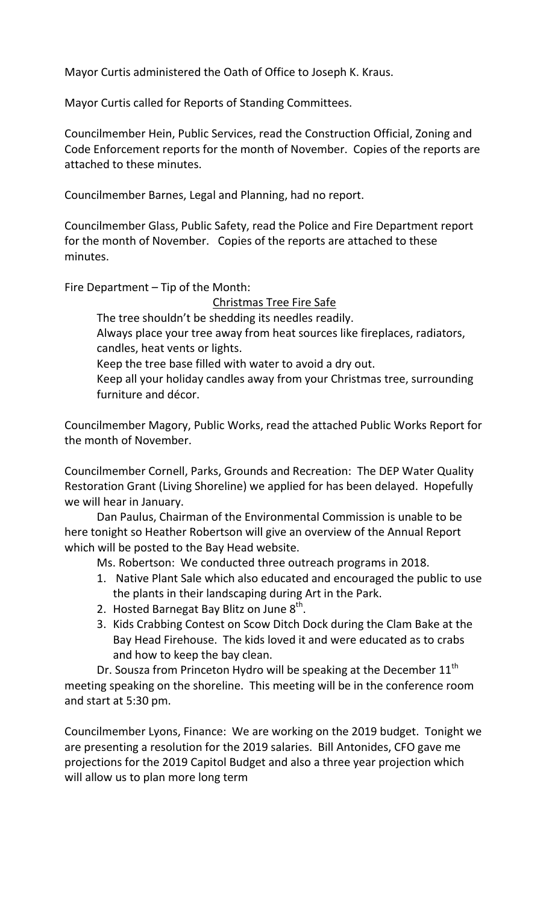Mayor Curtis administered the Oath of Office to Joseph K. Kraus.

Mayor Curtis called for Reports of Standing Committees.

Councilmember Hein, Public Services, read the Construction Official, Zoning and Code Enforcement reports for the month of November. Copies of the reports are attached to these minutes.

Councilmember Barnes, Legal and Planning, had no report.

Councilmember Glass, Public Safety, read the Police and Fire Department report for the month of November. Copies of the reports are attached to these minutes.

Fire Department – Tip of the Month:

Christmas Tree Fire Safe

The tree shouldn't be shedding its needles readily.

Always place your tree away from heat sources like fireplaces, radiators, candles, heat vents or lights.

Keep the tree base filled with water to avoid a dry out.

Keep all your holiday candles away from your Christmas tree, surrounding furniture and décor.

Councilmember Magory, Public Works, read the attached Public Works Report for the month of November.

Councilmember Cornell, Parks, Grounds and Recreation: The DEP Water Quality Restoration Grant (Living Shoreline) we applied for has been delayed. Hopefully we will hear in January.

Dan Paulus, Chairman of the Environmental Commission is unable to be here tonight so Heather Robertson will give an overview of the Annual Report which will be posted to the Bay Head website.

Ms. Robertson: We conducted three outreach programs in 2018.

- 1. Native Plant Sale which also educated and encouraged the public to use the plants in their landscaping during Art in the Park.
- 2. Hosted Barnegat Bay Blitz on June  $8^{\text{th}}$ .
- 3. Kids Crabbing Contest on Scow Ditch Dock during the Clam Bake at the Bay Head Firehouse. The kids loved it and were educated as to crabs and how to keep the bay clean.

Dr. Sousza from Princeton Hydro will be speaking at the December  $11<sup>th</sup>$ meeting speaking on the shoreline. This meeting will be in the conference room and start at 5:30 pm.

Councilmember Lyons, Finance: We are working on the 2019 budget. Tonight we are presenting a resolution for the 2019 salaries. Bill Antonides, CFO gave me projections for the 2019 Capitol Budget and also a three year projection which will allow us to plan more long term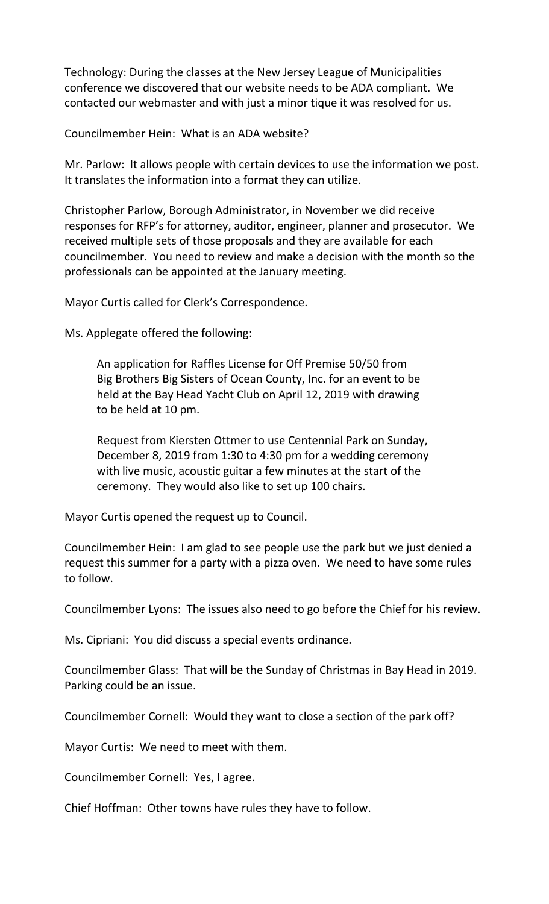Technology: During the classes at the New Jersey League of Municipalities conference we discovered that our website needs to be ADA compliant. We contacted our webmaster and with just a minor tique it was resolved for us.

Councilmember Hein: What is an ADA website?

Mr. Parlow: It allows people with certain devices to use the information we post. It translates the information into a format they can utilize.

Christopher Parlow, Borough Administrator, in November we did receive responses for RFP's for attorney, auditor, engineer, planner and prosecutor. We received multiple sets of those proposals and they are available for each councilmember. You need to review and make a decision with the month so the professionals can be appointed at the January meeting.

Mayor Curtis called for Clerk's Correspondence.

Ms. Applegate offered the following:

An application for Raffles License for Off Premise 50/50 from Big Brothers Big Sisters of Ocean County, Inc. for an event to be held at the Bay Head Yacht Club on April 12, 2019 with drawing to be held at 10 pm.

Request from Kiersten Ottmer to use Centennial Park on Sunday, December 8, 2019 from 1:30 to 4:30 pm for a wedding ceremony with live music, acoustic guitar a few minutes at the start of the ceremony. They would also like to set up 100 chairs.

Mayor Curtis opened the request up to Council.

Councilmember Hein: I am glad to see people use the park but we just denied a request this summer for a party with a pizza oven. We need to have some rules to follow.

Councilmember Lyons: The issues also need to go before the Chief for his review.

Ms. Cipriani: You did discuss a special events ordinance.

Councilmember Glass: That will be the Sunday of Christmas in Bay Head in 2019. Parking could be an issue.

Councilmember Cornell: Would they want to close a section of the park off?

Mayor Curtis: We need to meet with them.

Councilmember Cornell: Yes, I agree.

Chief Hoffman: Other towns have rules they have to follow.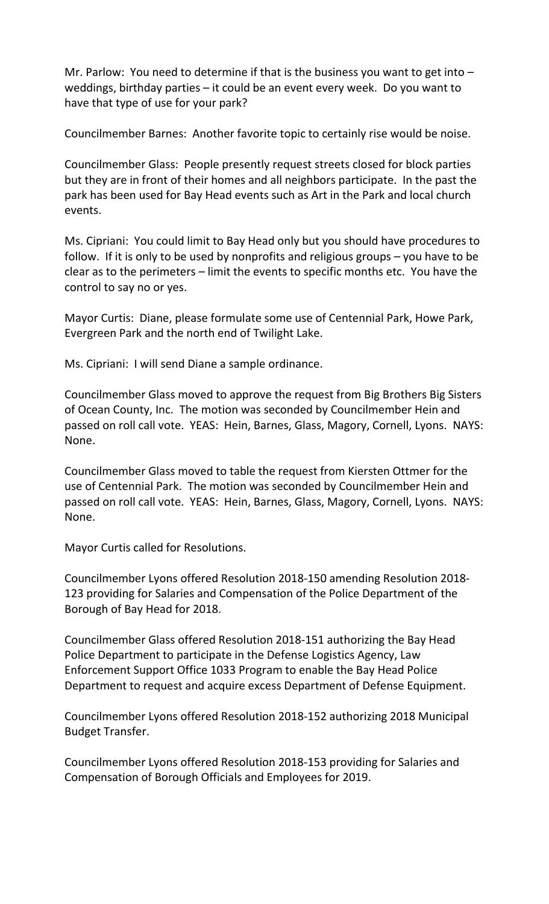Mr. Parlow: You need to determine if that is the business you want to get into  $$ weddings, birthday parties – it could be an event every week. Do you want to have that type of use for your park?

Councilmember Barnes: Another favorite topic to certainly rise would be noise.

Councilmember Glass: People presently request streets closed for block parties but they are in front of their homes and all neighbors participate. In the past the park has been used for Bay Head events such as Art in the Park and local church events.

Ms. Cipriani: You could limit to Bay Head only but you should have procedures to follow. If it is only to be used by nonprofits and religious groups – you have to be clear as to the perimeters – limit the events to specific months etc. You have the control to say no or yes.

Mayor Curtis: Diane, please formulate some use of Centennial Park, Howe Park, Evergreen Park and the north end of Twilight Lake.

Ms. Cipriani: I will send Diane a sample ordinance.

Councilmember Glass moved to approve the request from Big Brothers Big Sisters of Ocean County, Inc. The motion was seconded by Councilmember Hein and passed on roll call vote. YEAS: Hein, Barnes, Glass, Magory, Cornell, Lyons. NAYS: None.

Councilmember Glass moved to table the request from Kiersten Ottmer for the use of Centennial Park. The motion was seconded by Councilmember Hein and passed on roll call vote. YEAS: Hein, Barnes, Glass, Magory, Cornell, Lyons. NAYS: None.

Mayor Curtis called for Resolutions.

Councilmember Lyons offered Resolution 2018-150 amending Resolution 2018- 123 providing for Salaries and Compensation of the Police Department of the Borough of Bay Head for 2018.

Councilmember Glass offered Resolution 2018-151 authorizing the Bay Head Police Department to participate in the Defense Logistics Agency, Law Enforcement Support Office 1033 Program to enable the Bay Head Police Department to request and acquire excess Department of Defense Equipment.

Councilmember Lyons offered Resolution 2018-152 authorizing 2018 Municipal Budget Transfer.

Councilmember Lyons offered Resolution 2018-153 providing for Salaries and Compensation of Borough Officials and Employees for 2019.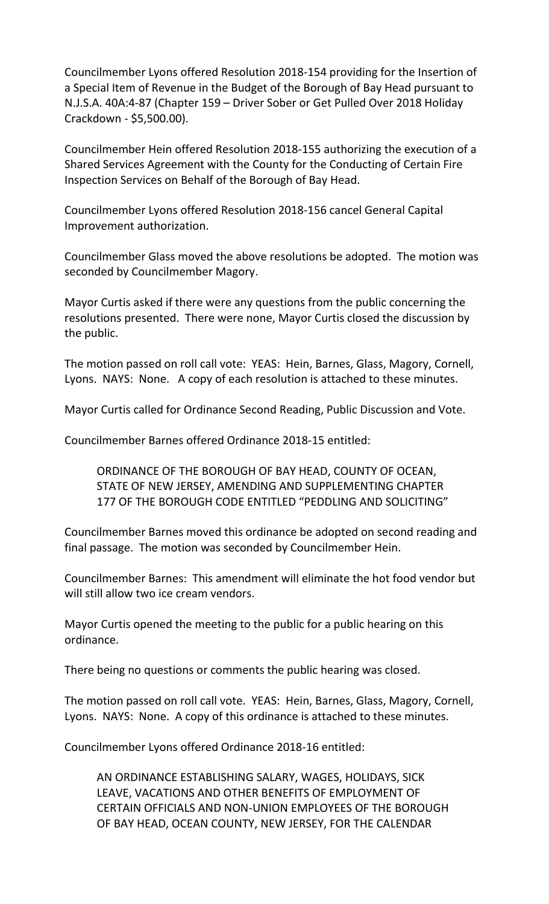Councilmember Lyons offered Resolution 2018-154 providing for the Insertion of a Special Item of Revenue in the Budget of the Borough of Bay Head pursuant to N.J.S.A. 40A:4-87 (Chapter 159 – Driver Sober or Get Pulled Over 2018 Holiday Crackdown - \$5,500.00).

Councilmember Hein offered Resolution 2018-155 authorizing the execution of a Shared Services Agreement with the County for the Conducting of Certain Fire Inspection Services on Behalf of the Borough of Bay Head.

Councilmember Lyons offered Resolution 2018-156 cancel General Capital Improvement authorization.

Councilmember Glass moved the above resolutions be adopted. The motion was seconded by Councilmember Magory.

Mayor Curtis asked if there were any questions from the public concerning the resolutions presented. There were none, Mayor Curtis closed the discussion by the public.

The motion passed on roll call vote: YEAS: Hein, Barnes, Glass, Magory, Cornell, Lyons. NAYS: None. A copy of each resolution is attached to these minutes.

Mayor Curtis called for Ordinance Second Reading, Public Discussion and Vote.

Councilmember Barnes offered Ordinance 2018-15 entitled:

ORDINANCE OF THE BOROUGH OF BAY HEAD, COUNTY OF OCEAN, STATE OF NEW JERSEY, AMENDING AND SUPPLEMENTING CHAPTER 177 OF THE BOROUGH CODE ENTITLED "PEDDLING AND SOLICITING"

Councilmember Barnes moved this ordinance be adopted on second reading and final passage. The motion was seconded by Councilmember Hein.

Councilmember Barnes: This amendment will eliminate the hot food vendor but will still allow two ice cream vendors.

Mayor Curtis opened the meeting to the public for a public hearing on this ordinance.

There being no questions or comments the public hearing was closed.

The motion passed on roll call vote. YEAS: Hein, Barnes, Glass, Magory, Cornell, Lyons. NAYS: None. A copy of this ordinance is attached to these minutes.

Councilmember Lyons offered Ordinance 2018-16 entitled:

AN ORDINANCE ESTABLISHING SALARY, WAGES, HOLIDAYS, SICK LEAVE, VACATIONS AND OTHER BENEFITS OF EMPLOYMENT OF CERTAIN OFFICIALS AND NON-UNION EMPLOYEES OF THE BOROUGH OF BAY HEAD, OCEAN COUNTY, NEW JERSEY, FOR THE CALENDAR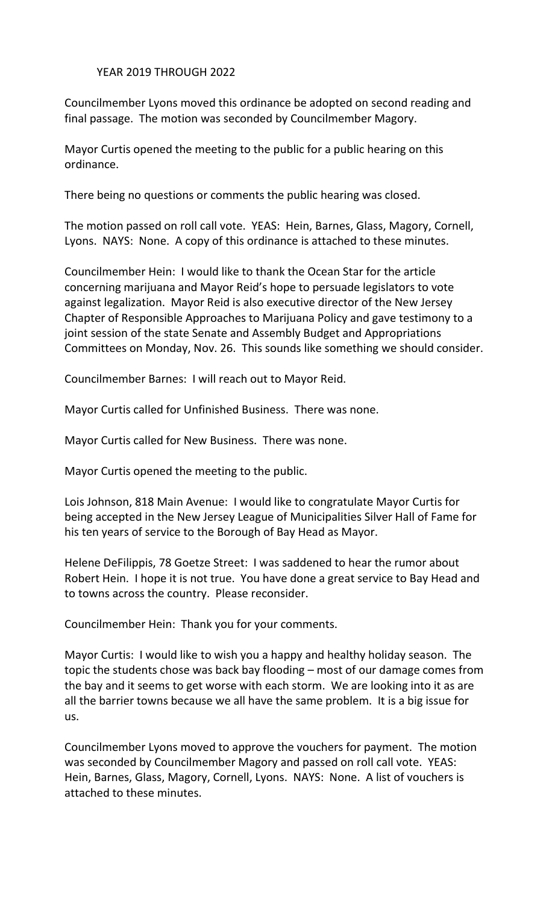## YEAR 2019 THROUGH 2022

Councilmember Lyons moved this ordinance be adopted on second reading and final passage. The motion was seconded by Councilmember Magory.

Mayor Curtis opened the meeting to the public for a public hearing on this ordinance.

There being no questions or comments the public hearing was closed.

The motion passed on roll call vote. YEAS: Hein, Barnes, Glass, Magory, Cornell, Lyons. NAYS: None. A copy of this ordinance is attached to these minutes.

Councilmember Hein: I would like to thank the Ocean Star for the article concerning marijuana and Mayor Reid's hope to persuade legislators to vote against legalization. Mayor Reid is also executive director of the New Jersey Chapter of Responsible Approaches to Marijuana Policy and gave testimony to a joint session of the state Senate and Assembly Budget and Appropriations Committees on Monday, Nov. 26. This sounds like something we should consider.

Councilmember Barnes: I will reach out to Mayor Reid.

Mayor Curtis called for Unfinished Business. There was none.

Mayor Curtis called for New Business. There was none.

Mayor Curtis opened the meeting to the public.

Lois Johnson, 818 Main Avenue: I would like to congratulate Mayor Curtis for being accepted in the New Jersey League of Municipalities Silver Hall of Fame for his ten years of service to the Borough of Bay Head as Mayor.

Helene DeFilippis, 78 Goetze Street: I was saddened to hear the rumor about Robert Hein. I hope it is not true. You have done a great service to Bay Head and to towns across the country. Please reconsider.

Councilmember Hein: Thank you for your comments.

Mayor Curtis: I would like to wish you a happy and healthy holiday season. The topic the students chose was back bay flooding – most of our damage comes from the bay and it seems to get worse with each storm. We are looking into it as are all the barrier towns because we all have the same problem. It is a big issue for us.

Councilmember Lyons moved to approve the vouchers for payment. The motion was seconded by Councilmember Magory and passed on roll call vote. YEAS: Hein, Barnes, Glass, Magory, Cornell, Lyons. NAYS: None. A list of vouchers is attached to these minutes.